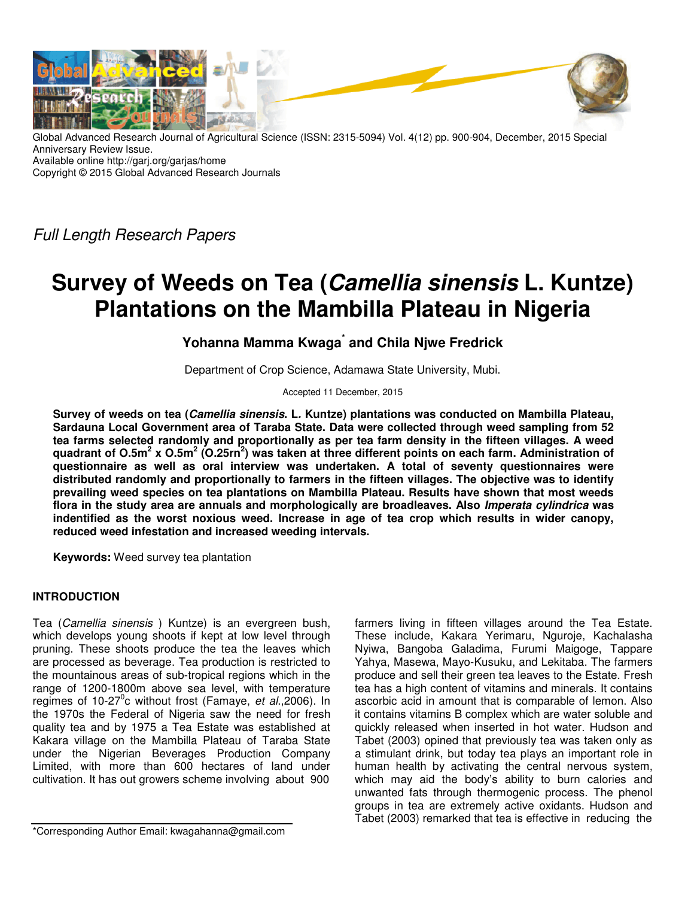

Global Advanced Research Journal of Agricultural Science (ISSN: 2315-5094) Vol. 4(12) pp. 900-904, December, 2015 Special Anniversary Review Issue. Available online http://garj.org/garjas/home

Copyright © 2015 Global Advanced Research Journals

Full Length Research Papers

# **Survey of Weeds on Tea (Camellia sinensis L. Kuntze) Plantations on the Mambilla Plateau in Nigeria**

# **Yohanna Mamma Kwaga\* and Chila Njwe Fredrick**

Department of Crop Science, Adamawa State University, Mubi.

Accepted 11 December, 2015

**Survey of weeds on tea (Camellia sinensis. L. Kuntze) plantations was conducted on Mambilla Plateau, Sardauna Local Government area of Taraba State. Data were collected through weed sampling from 52 tea farms selected randomly and proportionally as per tea farm density in the fifteen villages. A weed quadrant of O.5m<sup>2</sup> x O.5m<sup>2</sup> (O.25rn<sup>2</sup> ) was taken at three different points on each farm. Administration of questionnaire as well as oral interview was undertaken. A total of seventy questionnaires were distributed randomly and proportionally to farmers in the fifteen villages. The objective was to identify prevailing weed species on tea plantations on Mambilla Plateau. Results have shown that most weeds flora in the study area are annuals and morphologically are broadleaves. Also Imperata cylindrica was indentified as the worst noxious weed. Increase in age of tea crop which results in wider canopy, reduced weed infestation and increased weeding intervals.** 

**Keywords:** Weed survey tea plantation

# **INTRODUCTION**

Tea (Camellia sinensis ) Kuntze) is an evergreen bush, which develops young shoots if kept at low level through pruning. These shoots produce the tea the leaves which are processed as beverage. Tea production is restricted to the mountainous areas of sub-tropical regions which in the range of 1200-1800m above sea level, with temperature regimes of 10-27<sup>0</sup>c without frost (Famaye, et al., 2006). In the 1970s the Federal of Nigeria saw the need for fresh quality tea and by 1975 a Tea Estate was established at Kakara village on the Mambilla Plateau of Taraba State under the Nigerian Beverages Production Company Limited, with more than 600 hectares of land under cultivation. It has out growers scheme involving about 900

\*Corresponding Author Email: kwagahanna@gmail.com

farmers living in fifteen villages around the Tea Estate. These include, Kakara Yerimaru, Nguroje, Kachalasha Nyiwa, Bangoba Galadima, Furumi Maigoge, Tappare Yahya, Masewa, Mayo-Kusuku, and Lekitaba. The farmers produce and sell their green tea leaves to the Estate. Fresh tea has a high content of vitamins and minerals. It contains ascorbic acid in amount that is comparable of lemon. Also it contains vitamins B complex which are water soluble and quickly released when inserted in hot water. Hudson and Tabet (2003) opined that previously tea was taken only as a stimulant drink, but today tea plays an important role in human health by activating the central nervous system, which may aid the body's ability to burn calories and unwanted fats through thermogenic process. The phenol groups in tea are extremely active oxidants. Hudson and Tabet (2003) remarked that tea is effective in reducing the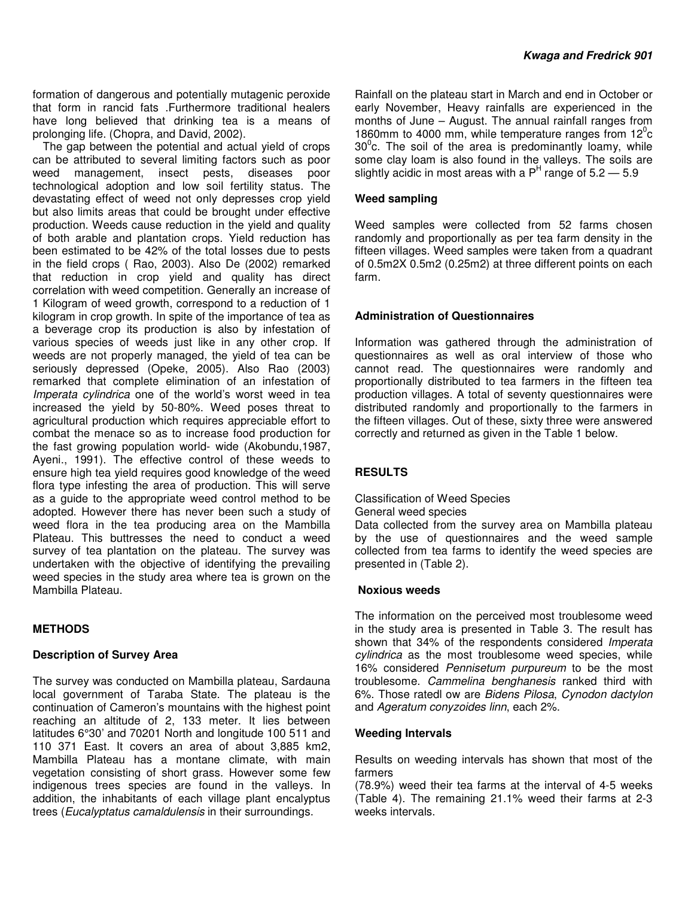formation of dangerous and potentially mutagenic peroxide that form in rancid fats .Furthermore traditional healers have long believed that drinking tea is a means of prolonging life. (Chopra, and David, 2002).

The gap between the potential and actual yield of crops can be attributed to several limiting factors such as poor weed management, insect pests, diseases poor technological adoption and low soil fertility status. The devastating effect of weed not only depresses crop yield but also limits areas that could be brought under effective production. Weeds cause reduction in the yield and quality of both arable and plantation crops. Yield reduction has been estimated to be 42% of the total losses due to pests in the field crops ( Rao, 2003). Also De (2002) remarked that reduction in crop yield and quality has direct correlation with weed competition. Generally an increase of 1 Kilogram of weed growth, correspond to a reduction of 1 kilogram in crop growth. In spite of the importance of tea as a beverage crop its production is also by infestation of various species of weeds just like in any other crop. If weeds are not properly managed, the yield of tea can be seriously depressed (Opeke, 2005). Also Rao (2003) remarked that complete elimination of an infestation of Imperata cylindrica one of the world's worst weed in tea increased the yield by 50-80%. Weed poses threat to agricultural production which requires appreciable effort to combat the menace so as to increase food production for the fast growing population world- wide (Akobundu,1987, Ayeni., 1991). The effective control of these weeds to ensure high tea yield requires good knowledge of the weed flora type infesting the area of production. This will serve as a guide to the appropriate weed control method to be adopted. However there has never been such a study of weed flora in the tea producing area on the Mambilla Plateau. This buttresses the need to conduct a weed survey of tea plantation on the plateau. The survey was undertaken with the objective of identifying the prevailing weed species in the study area where tea is grown on the Mambilla Plateau.

# **METHODS**

# **Description of Survey Area**

The survey was conducted on Mambilla plateau, Sardauna local government of Taraba State. The plateau is the continuation of Cameron's mountains with the highest point reaching an altitude of 2, 133 meter. It lies between latitudes 6°30' and 70201 North and longitude 100 511 and 110 371 East. It covers an area of about 3,885 km2, Mambilla Plateau has a montane climate, with main vegetation consisting of short grass. However some few indigenous trees species are found in the valleys. In addition, the inhabitants of each village plant encalyptus trees (Eucalyptatus camaldulensis in their surroundings.

Rainfall on the plateau start in March and end in October or early November, Heavy rainfalls are experienced in the months of June – August. The annual rainfall ranges from 1860mm to 4000 mm, while temperature ranges from  $12^{\circ}$ c  $30^{\circ}$ c. The soil of the area is predominantly loamy, while some clay loam is also found in the valleys. The soils are slightly acidic in most areas with a  $P<sup>H</sup>$  range of 5.2 – 5.9

# **Weed sampling**

Weed samples were collected from 52 farms chosen randomly and proportionally as per tea farm density in the fifteen villages. Weed samples were taken from a quadrant of 0.5m2X 0.5m2 (0.25m2) at three different points on each farm.

# **Administration of Questionnaires**

Information was gathered through the administration of questionnaires as well as oral interview of those who cannot read. The questionnaires were randomly and proportionally distributed to tea farmers in the fifteen tea production villages. A total of seventy questionnaires were distributed randomly and proportionally to the farmers in the fifteen villages. Out of these, sixty three were answered correctly and returned as given in the Table 1 below.

#### **RESULTS**

Classification of Weed Species

General weed species

Data collected from the survey area on Mambilla plateau by the use of questionnaires and the weed sample collected from tea farms to identify the weed species are presented in (Table 2).

#### **Noxious weeds**

The information on the perceived most troublesome weed in the study area is presented in Table 3. The result has shown that 34% of the respondents considered Imperata cylindrica as the most troublesome weed species, while 16% considered Pennisetum purpureum to be the most troublesome. Cammelina benghanesis ranked third with 6%. Those ratedl ow are Bidens Pilosa, Cynodon dactylon and Ageratum conyzoides linn, each 2%.

# **Weeding Intervals**

Results on weeding intervals has shown that most of the farmers

(78.9%) weed their tea farms at the interval of 4-5 weeks (Table 4). The remaining 21.1% weed their farms at 2-3 weeks intervals.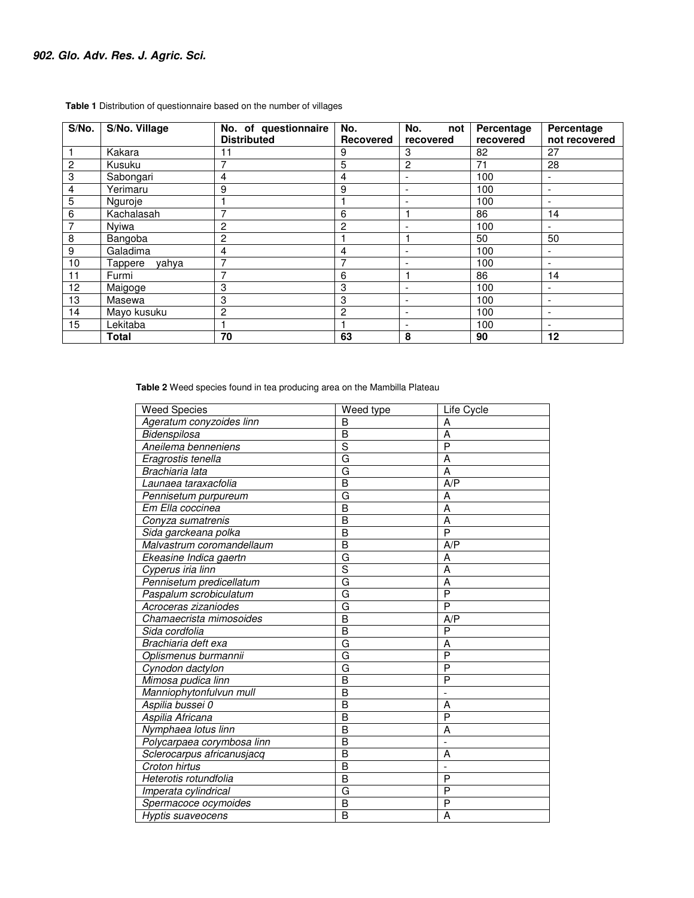| S/No.          | S/No. Village    | No. of questionnaire | No.              | No.<br>not               | Percentage | Percentage               |
|----------------|------------------|----------------------|------------------|--------------------------|------------|--------------------------|
|                |                  | <b>Distributed</b>   | <b>Recovered</b> | recovered                | recovered  | not recovered            |
|                | Kakara           | 11                   | 9                | 3                        | 82         | 27                       |
| $\overline{c}$ | Kusuku           |                      | 5                | $\overline{c}$           | 71         | 28                       |
| $\overline{3}$ | Sabongari        | 4                    | 4                | ٠                        | 100        | $\overline{\phantom{0}}$ |
| $\overline{4}$ | Yerimaru         | 9                    | 9                |                          | 100        | ٠                        |
| $\overline{5}$ | Nguroje          |                      |                  |                          | 100        |                          |
| $\,6$          | Kachalasah       |                      | 6                |                          | 86         | 14                       |
| $\overline{7}$ | Nyiwa            | 2                    | 2                |                          | 100        | $\overline{\phantom{a}}$ |
| 8              | Bangoba          | 2                    |                  |                          | 50         | 50                       |
| 9              | Galadima         | 4                    | 4                |                          | 100        | $\overline{\phantom{0}}$ |
| 10             | Tappere<br>vahva |                      |                  |                          | 100        | $\overline{\phantom{a}}$ |
| 11             | Furmi            |                      | 6                |                          | 86         | 14                       |
| 12             | Maigoge          | 3                    | 3                | $\overline{\phantom{0}}$ | 100        | $\overline{\phantom{0}}$ |
| 13             | Masewa           | 3                    | 3                | $\overline{\phantom{a}}$ | 100        | ۰.                       |
| 14             | Mayo kusuku      | 2                    | 2                | $\overline{\phantom{a}}$ | 100        | $\overline{\phantom{a}}$ |
| 15             | Lekitaba         |                      |                  | $\overline{\phantom{a}}$ | 100        | $\overline{\phantom{a}}$ |
|                | <b>Total</b>     | 70                   | 63               | 8                        | 90         | 12                       |

 **Table 1** Distribution of questionnaire based on the number of villages

 **Table 2** Weed species found in tea producing area on the Mambilla Plateau

| <b>Weed Species</b>        | Weed type    | Life Cycle     |
|----------------------------|--------------|----------------|
| Ageratum conyzoides linn   | B            | A              |
| Bidenspilosa               | B            | A              |
| Aneilema benneniens        | S            | P              |
| Eragrostis tenella         | G            | A              |
| Brachiaria lata            | G            | A              |
| Launaea taraxacfolia       | B            | A/P            |
| Pennisetum purpureum       | G            | A              |
| Em Ella coccinea           | B            | A              |
| Conyza sumatrenis          | B            | A              |
| Sida garckeana polka       | B            | P              |
| Malvastrum coromandellaum  | B            | A/P            |
| Ekeasine Indica gaertn     | G            | А              |
| Cyperus iria linn          | S            | A              |
| Pennisetum predicellatum   | G            | Α              |
| Paspalum scrobiculatum     | G            | P              |
| Acroceras zizaniodes       | G            | P              |
| Chamaecrista mimosoides    | B            | A/P            |
| Sida cordfolia             | B            | P              |
| Brachiaria deft exa        | G            | Α              |
| Oplismenus burmannii       | G            | $\overline{P}$ |
| Cynodon dactylon           | G            | P              |
| Mimosa pudica linn         | B            | P              |
| Manniophytonfulvun mull    | B            |                |
| Aspilia bussei 0           | B            | Α              |
| Aspilia Africana           | B            | $\overline{P}$ |
| Nymphaea lotus linn        | B            | Α              |
| Polycarpaea corymbosa linn | B            |                |
| Sclerocarpus africanusjacq | B            | Α              |
| Croton hirtus              | B            |                |
| Heterotis rotundfolia      | B            | P              |
| Imperata cylindrical       | G            | P              |
| Spermacoce ocymoides       | B            | P              |
| Hyptis suaveocens          | <sub>B</sub> | A              |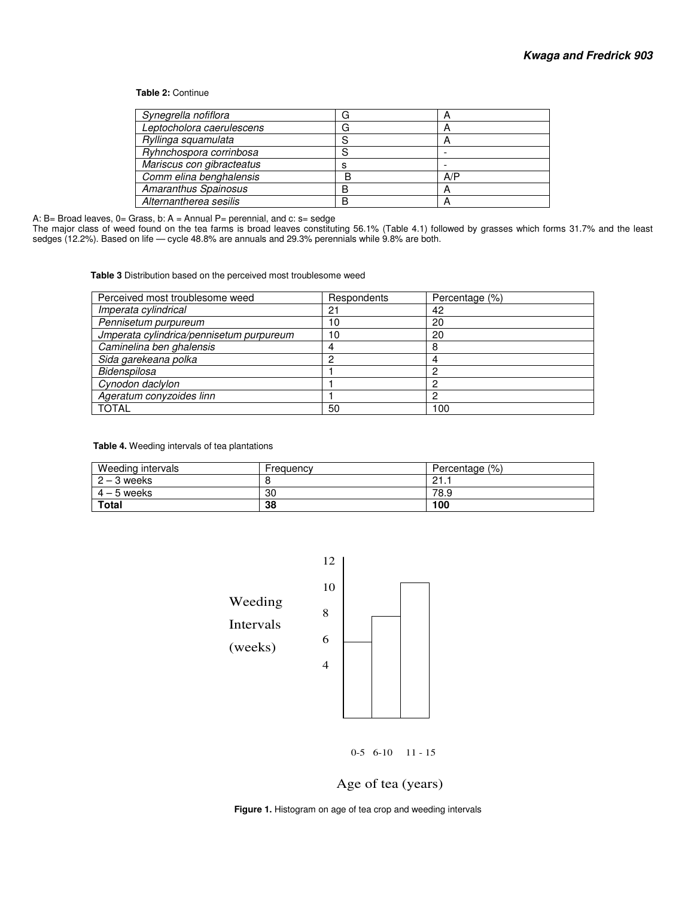#### **Table 2:** Continue

| Synegrella nofiflora      |   | n   |
|---------------------------|---|-----|
| Leptocholora caerulescens |   | n   |
| Ryllinga squamulata       | c |     |
| Ryhnchospora corrinbosa   |   |     |
| Mariscus con gibracteatus | s |     |
| Comm elina benghalensis   | R | A/P |
| Amaranthus Spainosus      | B | A   |
| Alternantherea sesilis    | R |     |

A: B= Broad leaves, 0= Grass, b: A = Annual P= perennial, and c: s= sedge

The major class of weed found on the tea farms is broad leaves constituting 56.1% (Table 4.1) followed by grasses which forms 31.7% and the least sedges (12.2%). Based on life — cycle 48.8% are annuals and 29.3% perennials while 9.8% are both.

 **Table 3** Distribution based on the perceived most troublesome weed

| Perceived most troublesome weed          | Respondents | Percentage (%) |
|------------------------------------------|-------------|----------------|
| Imperata cylindrical                     | 21          | 42             |
| Pennisetum purpureum                     | 10          | 20             |
| Jmperata cylindrica/pennisetum purpureum | 10          | 20             |
| Caminelina ben ghalensis                 |             | 8              |
| Sida garekeana polka                     | C           |                |
| Bidenspilosa                             |             |                |
| Cynodon daclylon                         |             |                |
| Ageratum conyzoides linn                 |             |                |
| <b>TOTAL</b>                             | 50          | 100            |

 **Table 4.** Weeding intervals of tea plantations

| Weeding intervals | Frequency | Percentage (%)            |
|-------------------|-----------|---------------------------|
| $2 - 3$ weeks     |           | $^{\circ}$<br><b>4</b> I. |
| $4 - 5$ weeks     | 30        | 78.9                      |
| <b>Total</b>      | 38        | 100                       |



0-5 6-10 11 - 15

# Age of tea (years)

 **Figure 1.** Histogram on age of tea crop and weeding intervals